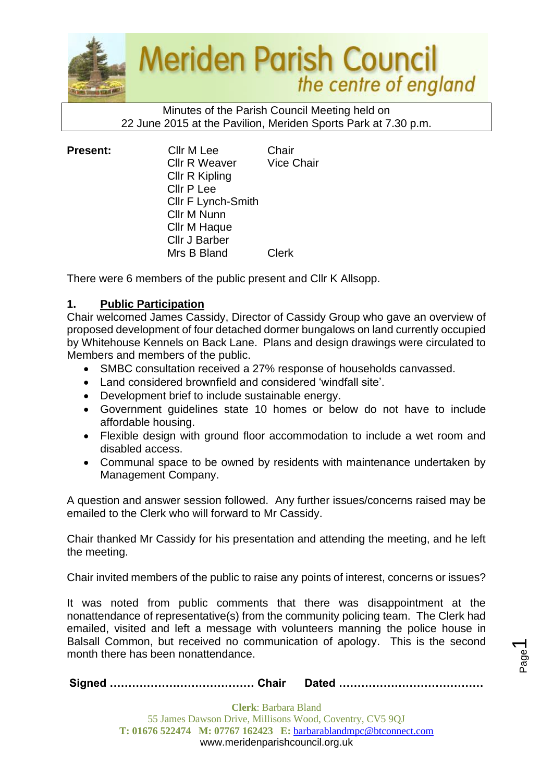

#### Minutes of the Parish Council Meeting held on 22 June 2015 at the Pavilion, Meriden Sports Park at 7.30 p.m.

| <b>Present:</b> | Cllr M Lee<br><b>Cllr R Weaver</b><br>Cllr R Kipling<br>Cllr P Lee<br><b>CIIr F Lynch-Smith</b><br>Cllr M Nunn<br>Cllr M Haque<br>Cllr J Barber | Chair<br><b>Vice Chair</b> |
|-----------------|-------------------------------------------------------------------------------------------------------------------------------------------------|----------------------------|
|                 | Mrs B Bland                                                                                                                                     | Clerk                      |

There were 6 members of the public present and Cllr K Allsopp.

# **1. Public Participation**

Chair welcomed James Cassidy, Director of Cassidy Group who gave an overview of proposed development of four detached dormer bungalows on land currently occupied by Whitehouse Kennels on Back Lane. Plans and design drawings were circulated to Members and members of the public.

- SMBC consultation received a 27% response of households canvassed.
- Land considered brownfield and considered 'windfall site'.
- Development brief to include sustainable energy.
- Government guidelines state 10 homes or below do not have to include affordable housing.
- Flexible design with ground floor accommodation to include a wet room and disabled access.
- Communal space to be owned by residents with maintenance undertaken by Management Company.

A question and answer session followed. Any further issues/concerns raised may be emailed to the Clerk who will forward to Mr Cassidy.

Chair thanked Mr Cassidy for his presentation and attending the meeting, and he left the meeting.

Chair invited members of the public to raise any points of interest, concerns or issues?

It was noted from public comments that there was disappointment at the nonattendance of representative(s) from the community policing team. The Clerk had emailed, visited and left a message with volunteers manning the police house in Balsall Common, but received no communication of apology. This is the second month there has been nonattendance.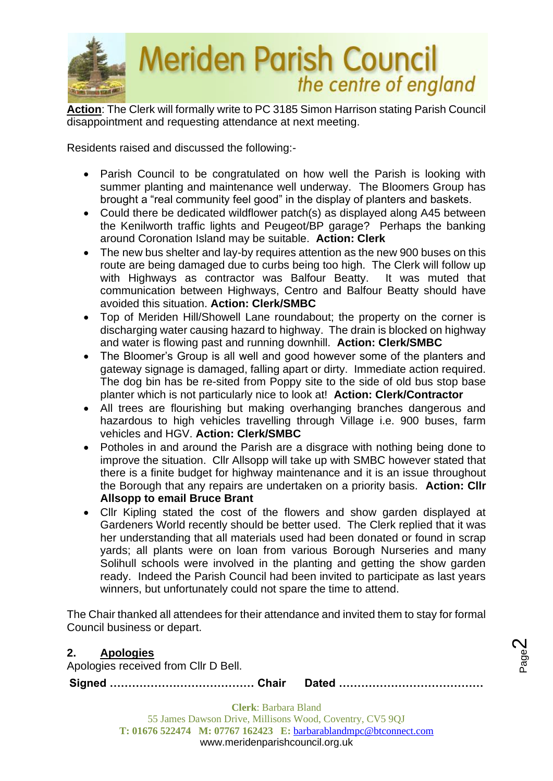

**Action**: The Clerk will formally write to PC 3185 Simon Harrison stating Parish Council disappointment and requesting attendance at next meeting.

Residents raised and discussed the following:-

- Parish Council to be congratulated on how well the Parish is looking with summer planting and maintenance well underway. The Bloomers Group has brought a "real community feel good" in the display of planters and baskets.
- Could there be dedicated wildflower patch(s) as displayed along A45 between the Kenilworth traffic lights and Peugeot/BP garage? Perhaps the banking around Coronation Island may be suitable. **Action: Clerk**
- The new bus shelter and lay-by requires attention as the new 900 buses on this route are being damaged due to curbs being too high. The Clerk will follow up with Highways as contractor was Balfour Beatty. It was muted that communication between Highways, Centro and Balfour Beatty should have avoided this situation. **Action: Clerk/SMBC**
- Top of Meriden Hill/Showell Lane roundabout; the property on the corner is discharging water causing hazard to highway. The drain is blocked on highway and water is flowing past and running downhill. **Action: Clerk/SMBC**
- The Bloomer's Group is all well and good however some of the planters and gateway signage is damaged, falling apart or dirty. Immediate action required. The dog bin has be re-sited from Poppy site to the side of old bus stop base planter which is not particularly nice to look at! **Action: Clerk/Contractor**
- All trees are flourishing but making overhanging branches dangerous and hazardous to high vehicles travelling through Village i.e. 900 buses, farm vehicles and HGV. **Action: Clerk/SMBC**
- Potholes in and around the Parish are a disgrace with nothing being done to improve the situation. Cllr Allsopp will take up with SMBC however stated that there is a finite budget for highway maintenance and it is an issue throughout the Borough that any repairs are undertaken on a priority basis. **Action: Cllr Allsopp to email Bruce Brant**
- Cllr Kipling stated the cost of the flowers and show garden displayed at Gardeners World recently should be better used. The Clerk replied that it was her understanding that all materials used had been donated or found in scrap yards; all plants were on loan from various Borough Nurseries and many Solihull schools were involved in the planting and getting the show garden ready. Indeed the Parish Council had been invited to participate as last years winners, but unfortunately could not spare the time to attend.

The Chair thanked all attendees for their attendance and invited them to stay for formal Council business or depart.

# **2. Apologies**

Apologies received from Cllr D Bell.

**Signed ………………………………… Chair Dated …………………………………**

Page  $\boldsymbol{\sim}$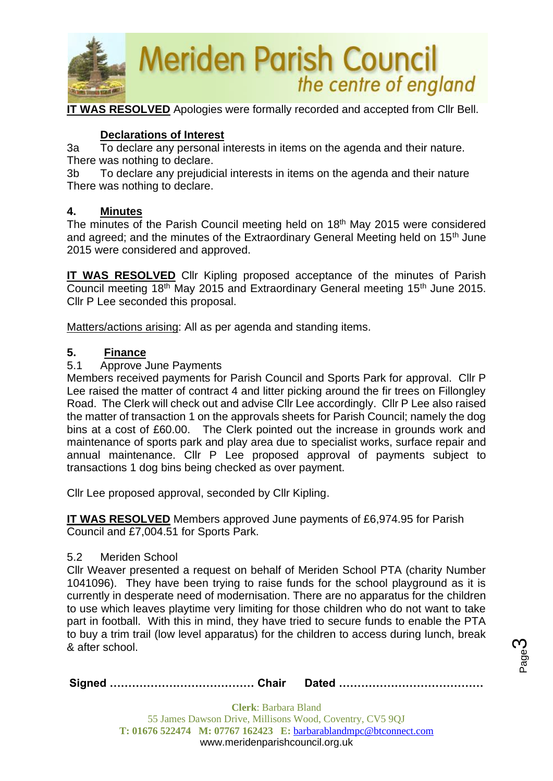

**IT WAS RESOLVED** Apologies were formally recorded and accepted from Cllr Bell.

# **Declarations of Interest**

3a To declare any personal interests in items on the agenda and their nature. There was nothing to declare.

3b To declare any prejudicial interests in items on the agenda and their nature There was nothing to declare.

## **4. Minutes**

The minutes of the Parish Council meeting held on 18<sup>th</sup> May 2015 were considered and agreed; and the minutes of the Extraordinary General Meeting held on 15<sup>th</sup> June 2015 were considered and approved.

**IT WAS RESOLVED** Cllr Kipling proposed acceptance of the minutes of Parish Council meeting 18<sup>th</sup> May 2015 and Extraordinary General meeting 15<sup>th</sup> June 2015. Cllr P Lee seconded this proposal.

Matters/actions arising: All as per agenda and standing items.

# **5. Finance**

## 5.1 Approve June Payments

Members received payments for Parish Council and Sports Park for approval. Cllr P Lee raised the matter of contract 4 and litter picking around the fir trees on Fillongley Road. The Clerk will check out and advise Cllr Lee accordingly. Cllr P Lee also raised the matter of transaction 1 on the approvals sheets for Parish Council; namely the dog bins at a cost of £60.00. The Clerk pointed out the increase in grounds work and maintenance of sports park and play area due to specialist works, surface repair and annual maintenance. Cllr P Lee proposed approval of payments subject to transactions 1 dog bins being checked as over payment.

Cllr Lee proposed approval, seconded by Cllr Kipling.

**IT WAS RESOLVED** Members approved June payments of £6,974.95 for Parish Council and £7,004.51 for Sports Park.

### 5.2 Meriden School

Cllr Weaver presented a request on behalf of Meriden School PTA (charity Number 1041096). They have been trying to raise funds for the school playground as it is currently in desperate need of modernisation. There are no apparatus for the children to use which leaves playtime very limiting for those children who do not want to take part in football. With this in mind, they have tried to secure funds to enable the PTA to buy a trim trail (low level apparatus) for the children to access during lunch, break & after school.

|--|--|--|

Page ო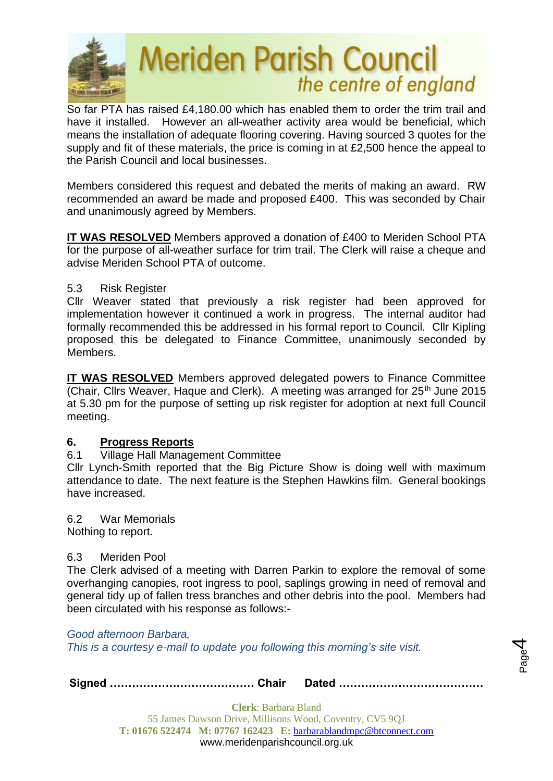

So far PTA has raised £4,180.00 which has enabled them to order the trim trail and have it installed. However an all-weather activity area would be beneficial, which means the installation of adequate flooring covering. Having sourced 3 quotes for the supply and fit of these materials, the price is coming in at £2,500 hence the appeal to the Parish Council and local businesses.

Members considered this request and debated the merits of making an award. RW recommended an award be made and proposed £400. This was seconded by Chair and unanimously agreed by Members.

**IT WAS RESOLVED** Members approved a donation of £400 to Meriden School PTA for the purpose of all-weather surface for trim trail. The Clerk will raise a cheque and advise Meriden School PTA of outcome.

## 5.3 Risk Register

Cllr Weaver stated that previously a risk register had been approved for implementation however it continued a work in progress. The internal auditor had formally recommended this be addressed in his formal report to Council. Cllr Kipling proposed this be delegated to Finance Committee, unanimously seconded by Members.

**IT WAS RESOLVED** Members approved delegated powers to Finance Committee (Chair, Cllrs Weaver, Haque and Clerk). A meeting was arranged for  $25<sup>th</sup>$  June 2015 at 5.30 pm for the purpose of setting up risk register for adoption at next full Council meeting.

### **6. Progress Reports**

### 6.1 Village Hall Management Committee

Cllr Lynch-Smith reported that the Big Picture Show is doing well with maximum attendance to date. The next feature is the Stephen Hawkins film. General bookings have increased.

6.2 War Memorials Nothing to report.

### 6.3 Meriden Pool

The Clerk advised of a meeting with Darren Parkin to explore the removal of some overhanging canopies, root ingress to pool, saplings growing in need of removal and general tidy up of fallen tress branches and other debris into the pool. Members had been circulated with his response as follows:-

*Good afternoon Barbara, This is a courtesy e-mail to update you following this morning's site visit.*

**Signed ………………………………… Chair Dated …………………………………**

**Clerk**: Barbara Bland 55 James Dawson Drive, Millisons Wood, Coventry, CV5 9QJ **T: 01676 522474 M: 07767 162423 E:** [barbarablandmpc@btconnect.com](mailto:barbarablandmpc@btconnect.com) www.meridenparishcouncil.org.uk

Page 4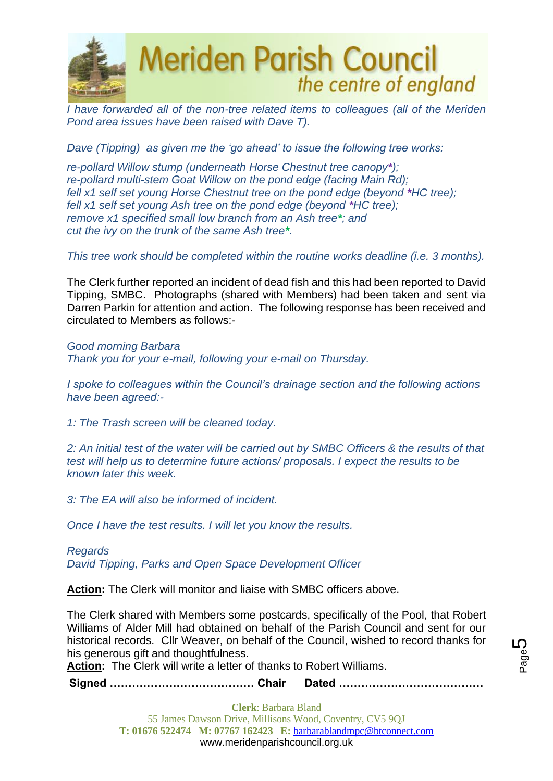

*I have forwarded all of the non-tree related items to colleagues (all of the Meriden Pond area issues have been raised with Dave T).*

*Dave (Tipping) as given me the 'go ahead' to issue the following tree works:*

*re-pollard Willow stump (underneath Horse Chestnut tree canopy\*); re-pollard multi-stem Goat Willow on the pond edge (facing Main Rd); fell x1 self set young Horse Chestnut tree on the pond edge (beyond \*HC tree); fell x1 self set young Ash tree on the pond edge (beyond \*HC tree); remove x1 specified small low branch from an Ash tree\*; and cut the ivy on the trunk of the same Ash tree\*.*

*This tree work should be completed within the routine works deadline (i.e. 3 months).* 

The Clerk further reported an incident of dead fish and this had been reported to David Tipping, SMBC. Photographs (shared with Members) had been taken and sent via Darren Parkin for attention and action. The following response has been received and circulated to Members as follows:-

*Good morning Barbara Thank you for your e-mail, following your e-mail on Thursday.*

*I spoke to colleagues within the Council's drainage section and the following actions have been agreed:-*

*1: The Trash screen will be cleaned today.*

*2: An initial test of the water will be carried out by SMBC Officers & the results of that test will help us to determine future actions/ proposals. I expect the results to be known later this week.*

*3: The EA will also be informed of incident.*

*Once I have the test results. I will let you know the results.*

*Regards David Tipping, Parks and Open Space Development Officer*

**Action:** The Clerk will monitor and liaise with SMBC officers above.

The Clerk shared with Members some postcards, specifically of the Pool, that Robert Williams of Alder Mill had obtained on behalf of the Parish Council and sent for our historical records. Cllr Weaver, on behalf of the Council, wished to record thanks for his generous gift and thoughtfulness.

**Action:** The Clerk will write a letter of thanks to Robert Williams.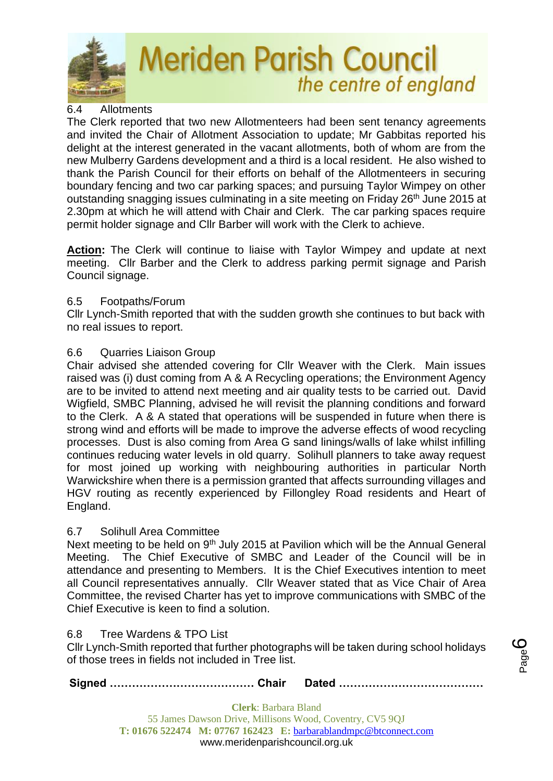

# 6.4 Allotments

The Clerk reported that two new Allotmenteers had been sent tenancy agreements and invited the Chair of Allotment Association to update; Mr Gabbitas reported his delight at the interest generated in the vacant allotments, both of whom are from the new Mulberry Gardens development and a third is a local resident. He also wished to thank the Parish Council for their efforts on behalf of the Allotmenteers in securing boundary fencing and two car parking spaces; and pursuing Taylor Wimpey on other outstanding snagging issues culminating in a site meeting on Friday 26<sup>th</sup> June 2015 at 2.30pm at which he will attend with Chair and Clerk. The car parking spaces require permit holder signage and Cllr Barber will work with the Clerk to achieve.

**Action:** The Clerk will continue to liaise with Taylor Wimpey and update at next meeting. Cllr Barber and the Clerk to address parking permit signage and Parish Council signage.

## 6.5 Footpaths/Forum

Cllr Lynch-Smith reported that with the sudden growth she continues to but back with no real issues to report.

# 6.6 Quarries Liaison Group

Chair advised she attended covering for Cllr Weaver with the Clerk. Main issues raised was (i) dust coming from A & A Recycling operations; the Environment Agency are to be invited to attend next meeting and air quality tests to be carried out. David Wigfield, SMBC Planning, advised he will revisit the planning conditions and forward to the Clerk. A & A stated that operations will be suspended in future when there is strong wind and efforts will be made to improve the adverse effects of wood recycling processes. Dust is also coming from Area G sand linings/walls of lake whilst infilling continues reducing water levels in old quarry. Solihull planners to take away request for most joined up working with neighbouring authorities in particular North Warwickshire when there is a permission granted that affects surrounding villages and HGV routing as recently experienced by Fillongley Road residents and Heart of England.

# 6.7 Solihull Area Committee

Next meeting to be held on 9<sup>th</sup> July 2015 at Pavilion which will be the Annual General Meeting. The Chief Executive of SMBC and Leader of the Council will be in attendance and presenting to Members. It is the Chief Executives intention to meet all Council representatives annually. Cllr Weaver stated that as Vice Chair of Area Committee, the revised Charter has yet to improve communications with SMBC of the Chief Executive is keen to find a solution.

### 6.8 Tree Wardens & TPO List

Cllr Lynch-Smith reported that further photographs will be taken during school holidays of those trees in fields not included in Tree list.

**Signed ………………………………… Chair Dated …………………………………**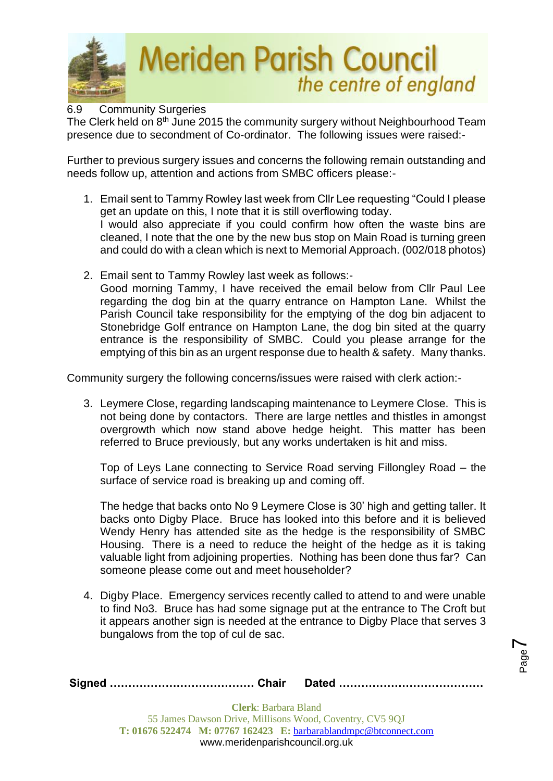

### 6.9 Community Surgeries

The Clerk held on 8<sup>th</sup> June 2015 the community surgery without Neighbourhood Team presence due to secondment of Co-ordinator. The following issues were raised:-

Further to previous surgery issues and concerns the following remain outstanding and needs follow up, attention and actions from SMBC officers please:-

- 1. Email sent to Tammy Rowley last week from Cllr Lee requesting "Could I please get an update on this, I note that it is still overflowing today. I would also appreciate if you could confirm how often the waste bins are cleaned, I note that the one by the new bus stop on Main Road is turning green and could do with a clean which is next to Memorial Approach. (002/018 photos)
- 2. Email sent to Tammy Rowley last week as follows:- Good morning Tammy, I have received the email below from Cllr Paul Lee regarding the dog bin at the quarry entrance on Hampton Lane. Whilst the Parish Council take responsibility for the emptying of the dog bin adjacent to Stonebridge Golf entrance on Hampton Lane, the dog bin sited at the quarry entrance is the responsibility of SMBC. Could you please arrange for the emptying of this bin as an urgent response due to health & safety. Many thanks.

Community surgery the following concerns/issues were raised with clerk action:-

3. Leymere Close, regarding landscaping maintenance to Leymere Close. This is not being done by contactors. There are large nettles and thistles in amongst overgrowth which now stand above hedge height. This matter has been referred to Bruce previously, but any works undertaken is hit and miss.

Top of Leys Lane connecting to Service Road serving Fillongley Road – the surface of service road is breaking up and coming off.

The hedge that backs onto No 9 Leymere Close is 30' high and getting taller. It backs onto Digby Place. Bruce has looked into this before and it is believed Wendy Henry has attended site as the hedge is the responsibility of SMBC Housing. There is a need to reduce the height of the hedge as it is taking valuable light from adjoining properties. Nothing has been done thus far? Can someone please come out and meet householder?

4. Digby Place. Emergency services recently called to attend to and were unable to find No3. Bruce has had some signage put at the entrance to The Croft but it appears another sign is needed at the entrance to Digby Place that serves 3 bungalows from the top of cul de sac.

Page  $\blacktriangleright$ 

|--|--|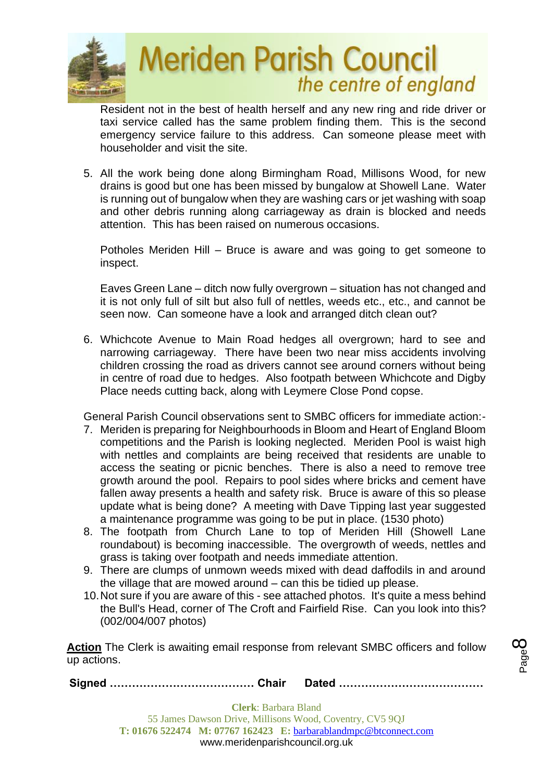

Resident not in the best of health herself and any new ring and ride driver or taxi service called has the same problem finding them. This is the second emergency service failure to this address. Can someone please meet with householder and visit the site.

5. All the work being done along Birmingham Road, Millisons Wood, for new drains is good but one has been missed by bungalow at Showell Lane. Water is running out of bungalow when they are washing cars or jet washing with soap and other debris running along carriageway as drain is blocked and needs attention. This has been raised on numerous occasions.

Potholes Meriden Hill – Bruce is aware and was going to get someone to inspect.

Eaves Green Lane – ditch now fully overgrown – situation has not changed and it is not only full of silt but also full of nettles, weeds etc., etc., and cannot be seen now. Can someone have a look and arranged ditch clean out?

6. Whichcote Avenue to Main Road hedges all overgrown; hard to see and narrowing carriageway. There have been two near miss accidents involving children crossing the road as drivers cannot see around corners without being in centre of road due to hedges. Also footpath between Whichcote and Digby Place needs cutting back, along with Leymere Close Pond copse.

General Parish Council observations sent to SMBC officers for immediate action:-

- 7. Meriden is preparing for Neighbourhoods in Bloom and Heart of England Bloom competitions and the Parish is looking neglected. Meriden Pool is waist high with nettles and complaints are being received that residents are unable to access the seating or picnic benches. There is also a need to remove tree growth around the pool. Repairs to pool sides where bricks and cement have fallen away presents a health and safety risk. Bruce is aware of this so please update what is being done? A meeting with Dave Tipping last year suggested a maintenance programme was going to be put in place. (1530 photo)
- 8. The footpath from Church Lane to top of Meriden Hill (Showell Lane roundabout) is becoming inaccessible. The overgrowth of weeds, nettles and grass is taking over footpath and needs immediate attention.
- 9. There are clumps of unmown weeds mixed with dead daffodils in and around the village that are mowed around – can this be tidied up please.
- 10.Not sure if you are aware of this see attached photos. It's quite a mess behind the Bull's Head, corner of The Croft and Fairfield Rise. Can you look into this? (002/004/007 photos)

**Action** The Clerk is awaiting email response from relevant SMBC officers and follow up actions.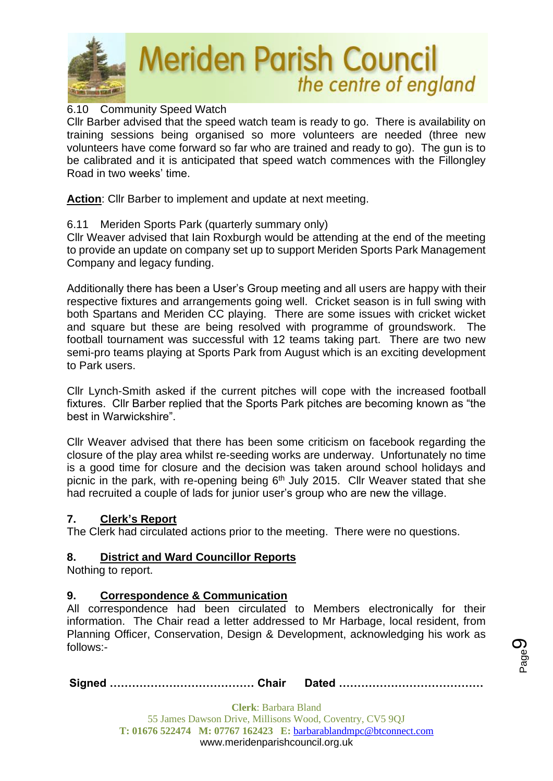

## 6.10 Community Speed Watch

Cllr Barber advised that the speed watch team is ready to go. There is availability on training sessions being organised so more volunteers are needed (three new volunteers have come forward so far who are trained and ready to go). The gun is to be calibrated and it is anticipated that speed watch commences with the Fillongley Road in two weeks' time.

**Action**: Cllr Barber to implement and update at next meeting.

### 6.11 Meriden Sports Park (quarterly summary only)

Cllr Weaver advised that Iain Roxburgh would be attending at the end of the meeting to provide an update on company set up to support Meriden Sports Park Management Company and legacy funding.

Additionally there has been a User's Group meeting and all users are happy with their respective fixtures and arrangements going well. Cricket season is in full swing with both Spartans and Meriden CC playing. There are some issues with cricket wicket and square but these are being resolved with programme of groundswork. The football tournament was successful with 12 teams taking part. There are two new semi-pro teams playing at Sports Park from August which is an exciting development to Park users.

Cllr Lynch-Smith asked if the current pitches will cope with the increased football fixtures. Cllr Barber replied that the Sports Park pitches are becoming known as "the best in Warwickshire".

Cllr Weaver advised that there has been some criticism on facebook regarding the closure of the play area whilst re-seeding works are underway. Unfortunately no time is a good time for closure and the decision was taken around school holidays and picnic in the park, with re-opening being  $6<sup>th</sup>$  July 2015. Cllr Weaver stated that she had recruited a couple of lads for junior user's group who are new the village.

### **7. Clerk's Report**

The Clerk had circulated actions prior to the meeting. There were no questions.

### **8. District and Ward Councillor Reports**

Nothing to report.

### **9. Correspondence & Communication**

All correspondence had been circulated to Members electronically for their information. The Chair read a letter addressed to Mr Harbage, local resident, from Planning Officer, Conservation, Design & Development, acknowledging his work as follows:-

**Signed ………………………………… Chair Dated …………………………………**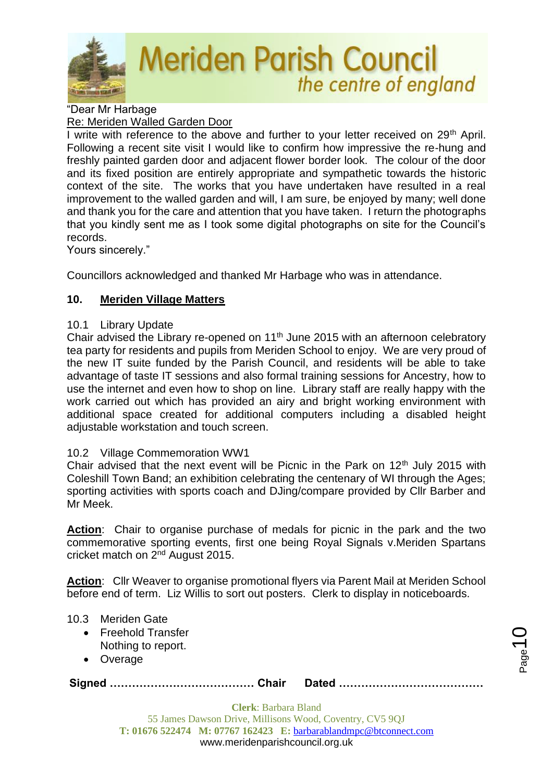

"Dear Mr Harbage Re: Meriden Walled Garden Door

I write with reference to the above and further to your letter received on  $29<sup>th</sup>$  April. Following a recent site visit I would like to confirm how impressive the re-hung and freshly painted garden door and adjacent flower border look. The colour of the door and its fixed position are entirely appropriate and sympathetic towards the historic context of the site. The works that you have undertaken have resulted in a real improvement to the walled garden and will, I am sure, be enjoyed by many; well done and thank you for the care and attention that you have taken. I return the photographs that you kindly sent me as I took some digital photographs on site for the Council's records.

Yours sincerely."

Councillors acknowledged and thanked Mr Harbage who was in attendance.

# **10. Meriden Village Matters**

# 10.1 Library Update

Chair advised the Library re-opened on 11<sup>th</sup> June 2015 with an afternoon celebratory tea party for residents and pupils from Meriden School to enjoy. We are very proud of the new IT suite funded by the Parish Council, and residents will be able to take advantage of taste IT sessions and also formal training sessions for Ancestry, how to use the internet and even how to shop on line. Library staff are really happy with the work carried out which has provided an airy and bright working environment with additional space created for additional computers including a disabled height adjustable workstation and touch screen.

# 10.2 Village Commemoration WW1

Chair advised that the next event will be Picnic in the Park on  $12<sup>th</sup>$  July 2015 with Coleshill Town Band; an exhibition celebrating the centenary of WI through the Ages; sporting activities with sports coach and DJing/compare provided by Cllr Barber and Mr Meek.

**Action**: Chair to organise purchase of medals for picnic in the park and the two commemorative sporting events, first one being Royal Signals v.Meriden Spartans cricket match on 2nd August 2015.

**Action**: Cllr Weaver to organise promotional flyers via Parent Mail at Meriden School before end of term. Liz Willis to sort out posters. Clerk to display in noticeboards.

# 10.3 Meriden Gate

- Freehold Transfer Nothing to report.
- Overage

**Signed ………………………………… Chair Dated …………………………………**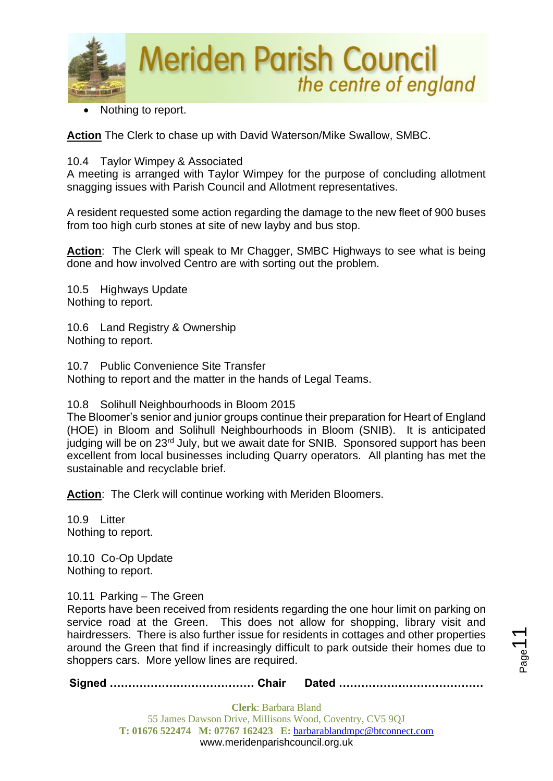

Nothing to report.

**Action** The Clerk to chase up with David Waterson/Mike Swallow, SMBC.

### 10.4 Taylor Wimpey & Associated

A meeting is arranged with Taylor Wimpey for the purpose of concluding allotment snagging issues with Parish Council and Allotment representatives.

A resident requested some action regarding the damage to the new fleet of 900 buses from too high curb stones at site of new layby and bus stop.

**Action**: The Clerk will speak to Mr Chagger, SMBC Highways to see what is being done and how involved Centro are with sorting out the problem.

10.5 Highways Update Nothing to report.

10.6 Land Registry & Ownership Nothing to report.

10.7 Public Convenience Site Transfer Nothing to report and the matter in the hands of Legal Teams.

10.8 Solihull Neighbourhoods in Bloom 2015

The Bloomer's senior and junior groups continue their preparation for Heart of England (HOE) in Bloom and Solihull Neighbourhoods in Bloom (SNIB). It is anticipated judging will be on 23<sup>rd</sup> July, but we await date for SNIB. Sponsored support has been excellent from local businesses including Quarry operators. All planting has met the sustainable and recyclable brief.

**Action**: The Clerk will continue working with Meriden Bloomers.

10.9 Litter Nothing to report.

10.10 Co-Op Update Nothing to report.

### 10.11 Parking – The Green

Reports have been received from residents regarding the one hour limit on parking on service road at the Green. This does not allow for shopping, library visit and hairdressers. There is also further issue for residents in cottages and other properties around the Green that find if increasingly difficult to park outside their homes due to shoppers cars. More yellow lines are required.

**Signed ………………………………… Chair Dated …………………………………**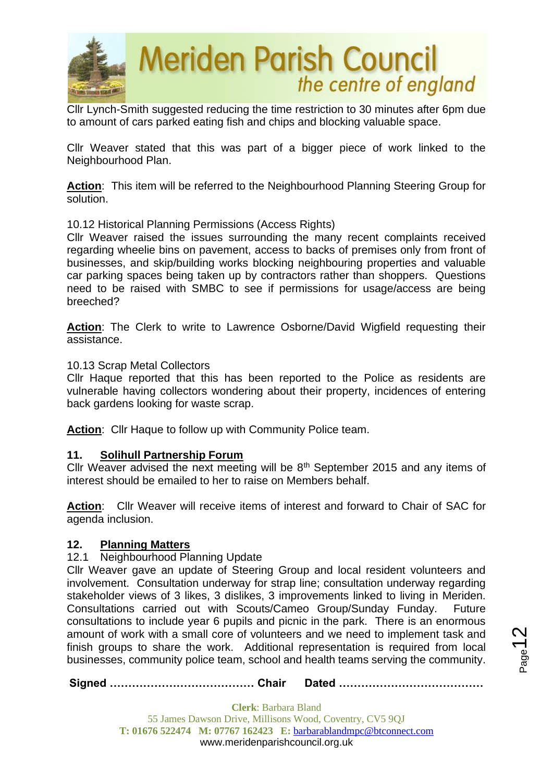

Cllr Lynch-Smith suggested reducing the time restriction to 30 minutes after 6pm due to amount of cars parked eating fish and chips and blocking valuable space.

Cllr Weaver stated that this was part of a bigger piece of work linked to the Neighbourhood Plan.

**Action**: This item will be referred to the Neighbourhood Planning Steering Group for solution.

### 10.12 Historical Planning Permissions (Access Rights)

Cllr Weaver raised the issues surrounding the many recent complaints received regarding wheelie bins on pavement, access to backs of premises only from front of businesses, and skip/building works blocking neighbouring properties and valuable car parking spaces being taken up by contractors rather than shoppers. Questions need to be raised with SMBC to see if permissions for usage/access are being breeched?

Action: The Clerk to write to Lawrence Osborne/David Wigfield requesting their assistance.

#### 10.13 Scrap Metal Collectors

Cllr Haque reported that this has been reported to the Police as residents are vulnerable having collectors wondering about their property, incidences of entering back gardens looking for waste scrap.

**Action**: Cllr Haque to follow up with Community Police team.

#### **11. Solihull Partnership Forum**

Cllr Weaver advised the next meeting will be  $8<sup>th</sup>$  September 2015 and any items of interest should be emailed to her to raise on Members behalf.

**Action**: Cllr Weaver will receive items of interest and forward to Chair of SAC for agenda inclusion.

#### **12. Planning Matters**

#### 12.1 Neighbourhood Planning Update

Cllr Weaver gave an update of Steering Group and local resident volunteers and involvement. Consultation underway for strap line; consultation underway regarding stakeholder views of 3 likes, 3 dislikes, 3 improvements linked to living in Meriden. Consultations carried out with Scouts/Cameo Group/Sunday Funday. Future consultations to include year 6 pupils and picnic in the park. There is an enormous amount of work with a small core of volunteers and we need to implement task and finish groups to share the work. Additional representation is required from local businesses, community police team, school and health teams serving the community.

**Signed ………………………………… Chair Dated …………………………………**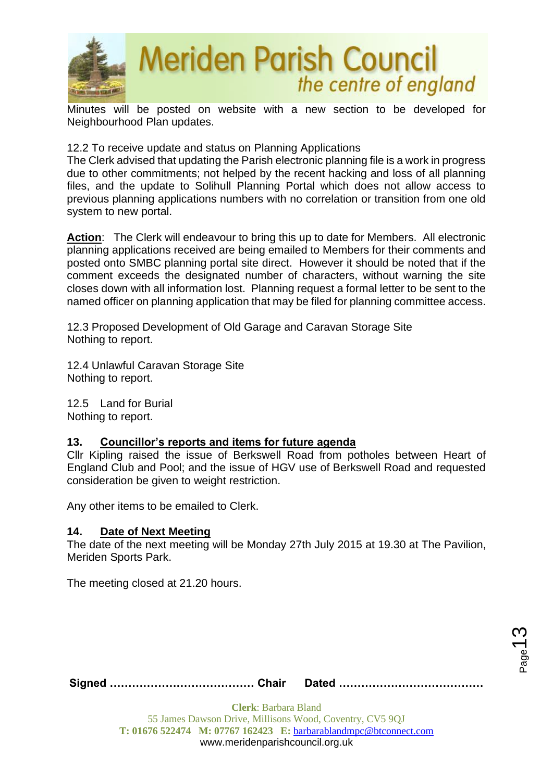

Minutes will be posted on website with a new section to be developed for Neighbourhood Plan updates.

12.2 To receive update and status on Planning Applications

The Clerk advised that updating the Parish electronic planning file is a work in progress due to other commitments; not helped by the recent hacking and loss of all planning files, and the update to Solihull Planning Portal which does not allow access to previous planning applications numbers with no correlation or transition from one old system to new portal.

**Action**: The Clerk will endeavour to bring this up to date for Members. All electronic planning applications received are being emailed to Members for their comments and posted onto SMBC planning portal site direct. However it should be noted that if the comment exceeds the designated number of characters, without warning the site closes down with all information lost. Planning request a formal letter to be sent to the named officer on planning application that may be filed for planning committee access.

12.3 Proposed Development of Old Garage and Caravan Storage Site Nothing to report.

12.4 Unlawful Caravan Storage Site Nothing to report.

12.5 Land for Burial Nothing to report.

# **13. Councillor's reports and items for future agenda**

Cllr Kipling raised the issue of Berkswell Road from potholes between Heart of England Club and Pool; and the issue of HGV use of Berkswell Road and requested consideration be given to weight restriction.

Any other items to be emailed to Clerk.

# **14. Date of Next Meeting**

The date of the next meeting will be Monday 27th July 2015 at 19.30 at The Pavilion, Meriden Sports Park.

The meeting closed at 21.20 hours.

**Signed ………………………………… Chair Dated …………………………………**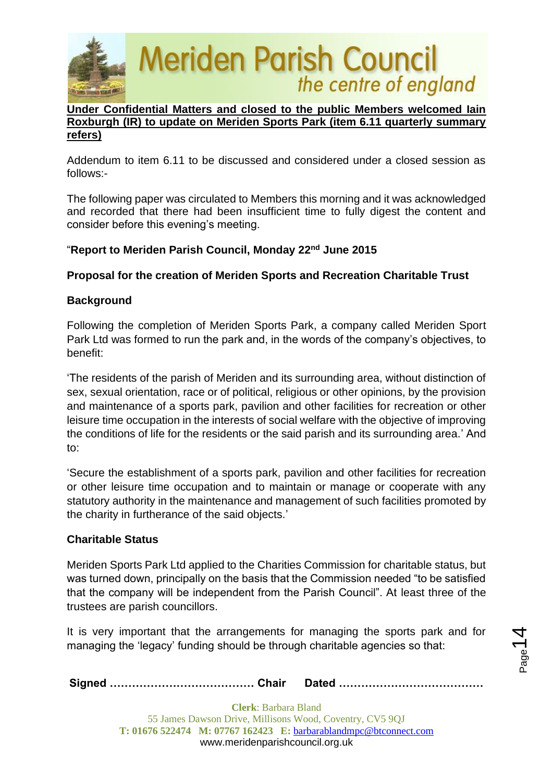

### **Under Confidential Matters and closed to the public Members welcomed Iain Roxburgh (IR) to update on Meriden Sports Park (item 6.11 quarterly summary refers)**

Addendum to item 6.11 to be discussed and considered under a closed session as follows:-

The following paper was circulated to Members this morning and it was acknowledged and recorded that there had been insufficient time to fully digest the content and consider before this evening's meeting.

## "**Report to Meriden Parish Council, Monday 22nd June 2015**

## **Proposal for the creation of Meriden Sports and Recreation Charitable Trust**

## **Background**

Following the completion of Meriden Sports Park, a company called Meriden Sport Park Ltd was formed to run the park and, in the words of the company's objectives, to benefit:

'The residents of the parish of Meriden and its surrounding area, without distinction of sex, sexual orientation, race or of political, religious or other opinions, by the provision and maintenance of a sports park, pavilion and other facilities for recreation or other leisure time occupation in the interests of social welfare with the objective of improving the conditions of life for the residents or the said parish and its surrounding area.' And to:

'Secure the establishment of a sports park, pavilion and other facilities for recreation or other leisure time occupation and to maintain or manage or cooperate with any statutory authority in the maintenance and management of such facilities promoted by the charity in furtherance of the said objects.'

### **Charitable Status**

Meriden Sports Park Ltd applied to the Charities Commission for charitable status, but was turned down, principally on the basis that the Commission needed "to be satisfied that the company will be independent from the Parish Council". At least three of the trustees are parish councillors.

It is very important that the arrangements for managing the sports park and for managing the 'legacy' funding should be through charitable agencies so that:

|--|--|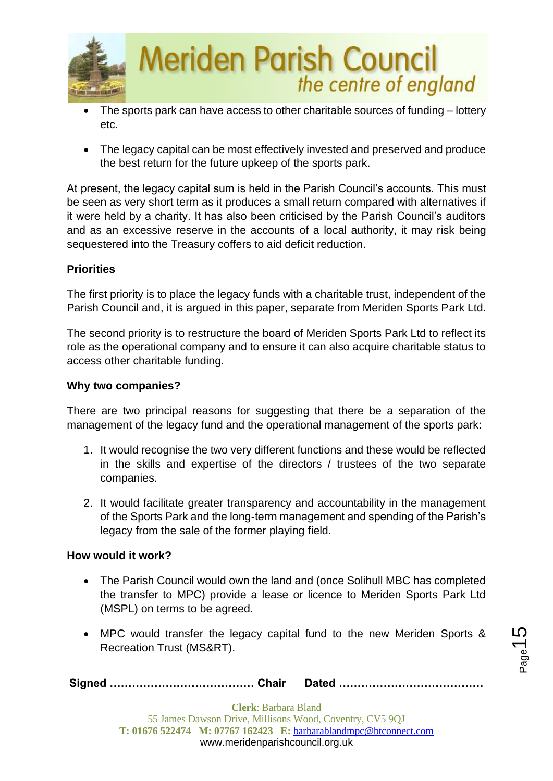

- The sports park can have access to other charitable sources of funding lottery etc.
- The legacy capital can be most effectively invested and preserved and produce the best return for the future upkeep of the sports park.

At present, the legacy capital sum is held in the Parish Council's accounts. This must be seen as very short term as it produces a small return compared with alternatives if it were held by a charity. It has also been criticised by the Parish Council's auditors and as an excessive reserve in the accounts of a local authority, it may risk being sequestered into the Treasury coffers to aid deficit reduction.

# **Priorities**

The first priority is to place the legacy funds with a charitable trust, independent of the Parish Council and, it is argued in this paper, separate from Meriden Sports Park Ltd.

The second priority is to restructure the board of Meriden Sports Park Ltd to reflect its role as the operational company and to ensure it can also acquire charitable status to access other charitable funding.

# **Why two companies?**

There are two principal reasons for suggesting that there be a separation of the management of the legacy fund and the operational management of the sports park:

- 1. It would recognise the two very different functions and these would be reflected in the skills and expertise of the directors / trustees of the two separate companies.
- 2. It would facilitate greater transparency and accountability in the management of the Sports Park and the long-term management and spending of the Parish's legacy from the sale of the former playing field.

# **How would it work?**

- The Parish Council would own the land and (once Solihull MBC has completed the transfer to MPC) provide a lease or licence to Meriden Sports Park Ltd (MSPL) on terms to be agreed.
- MPC would transfer the legacy capital fund to the new Meriden Sports & Recreation Trust (MS&RT).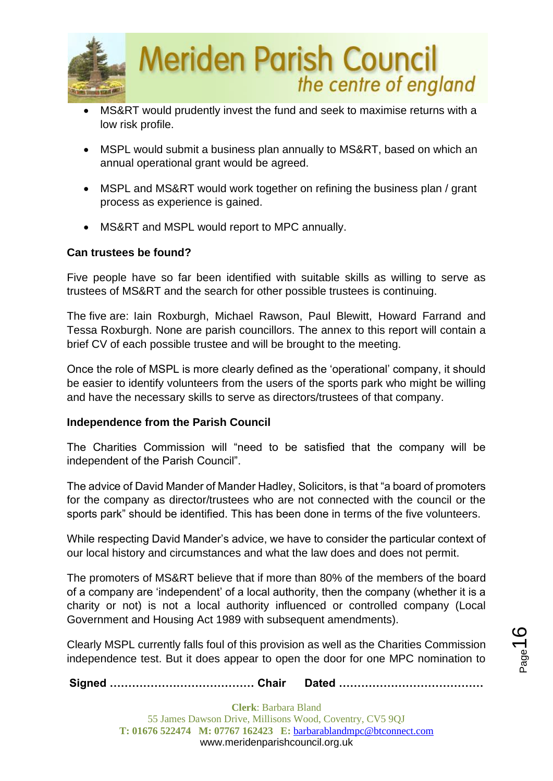

- MS&RT would prudently invest the fund and seek to maximise returns with a low risk profile.
- MSPL would submit a business plan annually to MS&RT, based on which an annual operational grant would be agreed.
- MSPL and MS&RT would work together on refining the business plan / grant process as experience is gained.
- MS&RT and MSPL would report to MPC annually.

## **Can trustees be found?**

Five people have so far been identified with suitable skills as willing to serve as trustees of MS&RT and the search for other possible trustees is continuing.

The five are: Iain Roxburgh, Michael Rawson, Paul Blewitt, Howard Farrand and Tessa Roxburgh. None are parish councillors. The annex to this report will contain a brief CV of each possible trustee and will be brought to the meeting.

Once the role of MSPL is more clearly defined as the 'operational' company, it should be easier to identify volunteers from the users of the sports park who might be willing and have the necessary skills to serve as directors/trustees of that company.

### **Independence from the Parish Council**

The Charities Commission will "need to be satisfied that the company will be independent of the Parish Council".

The advice of David Mander of Mander Hadley, Solicitors, is that "a board of promoters for the company as director/trustees who are not connected with the council or the sports park" should be identified. This has been done in terms of the five volunteers.

While respecting David Mander's advice, we have to consider the particular context of our local history and circumstances and what the law does and does not permit.

The promoters of MS&RT believe that if more than 80% of the members of the board of a company are 'independent' of a local authority, then the company (whether it is a charity or not) is not a local authority influenced or controlled company (Local Government and Housing Act 1989 with subsequent amendments).

Clearly MSPL currently falls foul of this provision as well as the Charities Commission independence test. But it does appear to open the door for one MPC nomination to

**Signed ………………………………… Chair Dated …………………………………**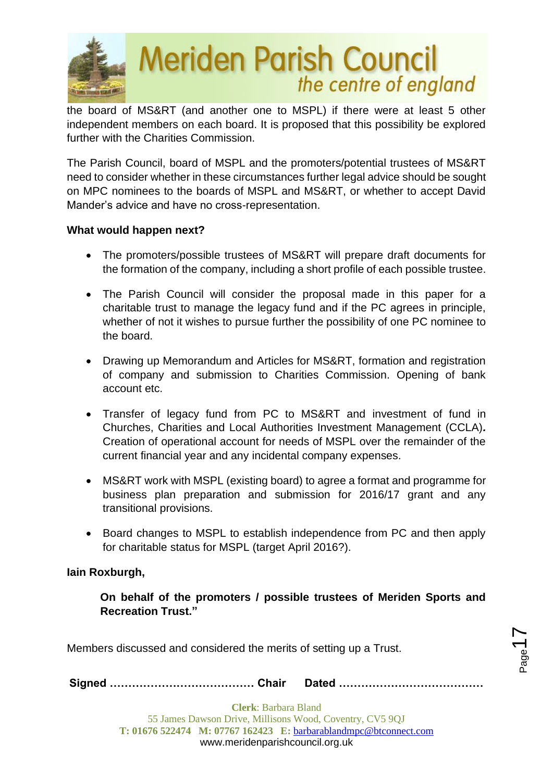

the board of MS&RT (and another one to MSPL) if there were at least 5 other independent members on each board. It is proposed that this possibility be explored further with the Charities Commission.

The Parish Council, board of MSPL and the promoters/potential trustees of MS&RT need to consider whether in these circumstances further legal advice should be sought on MPC nominees to the boards of MSPL and MS&RT, or whether to accept David Mander's advice and have no cross-representation.

### **What would happen next?**

- The promoters/possible trustees of MS&RT will prepare draft documents for the formation of the company, including a short profile of each possible trustee.
- The Parish Council will consider the proposal made in this paper for a charitable trust to manage the legacy fund and if the PC agrees in principle, whether of not it wishes to pursue further the possibility of one PC nominee to the board.
- Drawing up Memorandum and Articles for MS&RT, formation and registration of company and submission to Charities Commission. Opening of bank account etc.
- Transfer of legacy fund from PC to MS&RT and investment of fund in Churches, Charities and Local Authorities Investment Management (CCLA)*.* Creation of operational account for needs of MSPL over the remainder of the current financial year and any incidental company expenses.
- MS&RT work with MSPL (existing board) to agree a format and programme for business plan preparation and submission for 2016/17 grant and any transitional provisions.
- Board changes to MSPL to establish independence from PC and then apply for charitable status for MSPL (target April 2016?).

# **Iain Roxburgh,**

**On behalf of the promoters / possible trustees of Meriden Sports and Recreation Trust."**

Members discussed and considered the merits of setting up a Trust.

**Signed ………………………………… Chair Dated …………………………………**

 $P_{\text{age}}$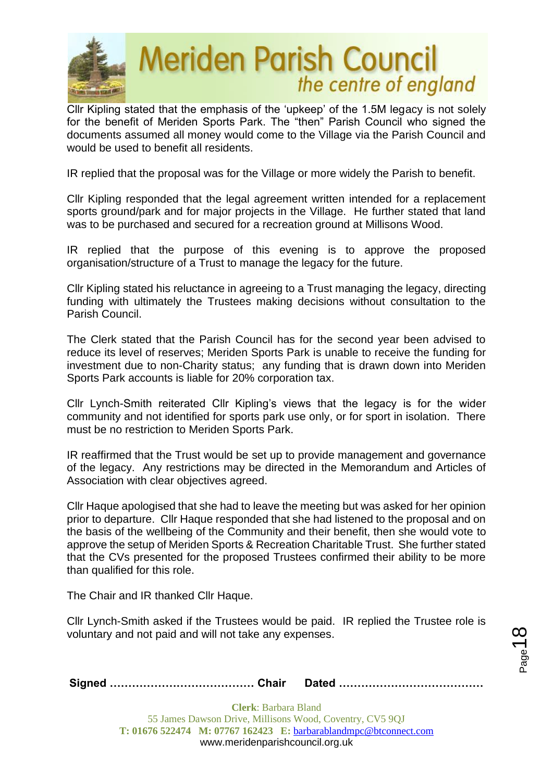

Cllr Kipling stated that the emphasis of the 'upkeep' of the 1.5M legacy is not solely for the benefit of Meriden Sports Park. The "then" Parish Council who signed the documents assumed all money would come to the Village via the Parish Council and would be used to benefit all residents.

IR replied that the proposal was for the Village or more widely the Parish to benefit.

Cllr Kipling responded that the legal agreement written intended for a replacement sports ground/park and for major projects in the Village. He further stated that land was to be purchased and secured for a recreation ground at Millisons Wood.

IR replied that the purpose of this evening is to approve the proposed organisation/structure of a Trust to manage the legacy for the future.

Cllr Kipling stated his reluctance in agreeing to a Trust managing the legacy, directing funding with ultimately the Trustees making decisions without consultation to the Parish Council.

The Clerk stated that the Parish Council has for the second year been advised to reduce its level of reserves; Meriden Sports Park is unable to receive the funding for investment due to non-Charity status; any funding that is drawn down into Meriden Sports Park accounts is liable for 20% corporation tax.

Cllr Lynch-Smith reiterated Cllr Kipling's views that the legacy is for the wider community and not identified for sports park use only, or for sport in isolation. There must be no restriction to Meriden Sports Park.

IR reaffirmed that the Trust would be set up to provide management and governance of the legacy. Any restrictions may be directed in the Memorandum and Articles of Association with clear objectives agreed.

Cllr Haque apologised that she had to leave the meeting but was asked for her opinion prior to departure. Cllr Haque responded that she had listened to the proposal and on the basis of the wellbeing of the Community and their benefit, then she would vote to approve the setup of Meriden Sports & Recreation Charitable Trust. She further stated that the CVs presented for the proposed Trustees confirmed their ability to be more than qualified for this role.

The Chair and IR thanked Cllr Haque.

Cllr Lynch-Smith asked if the Trustees would be paid. IR replied the Trustee role is voluntary and not paid and will not take any expenses.

|--|--|